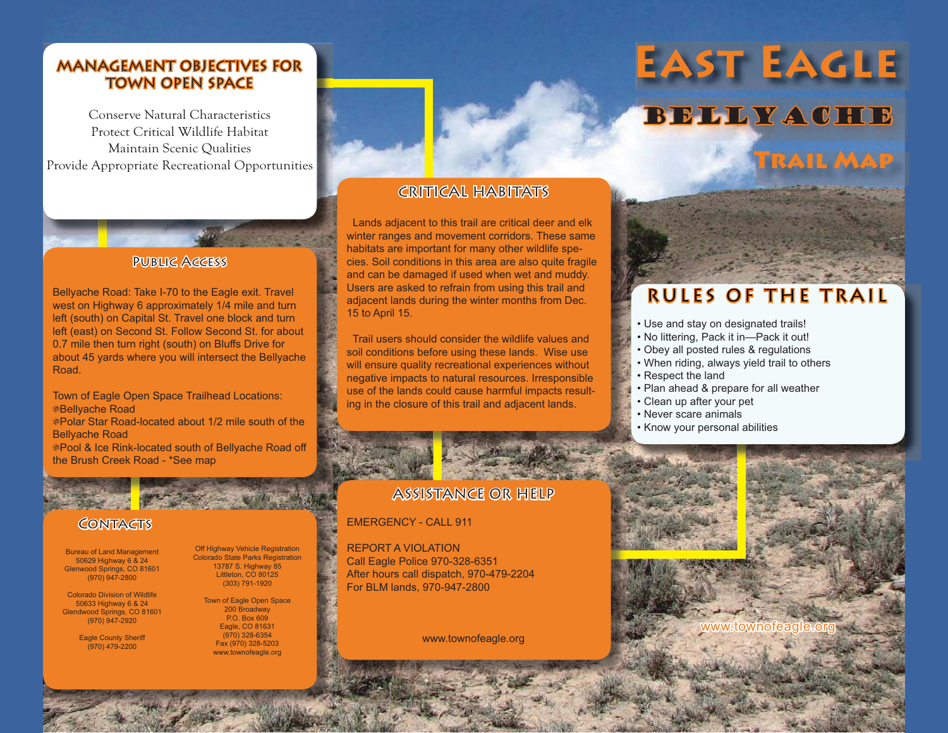#### MANAGEMENT OBJECTIVES FOR TOWN OPEN SPACE

Conserve Natural CharacteristicsProtect Critical Wildlife Habitat Maintain Scenic Qualities Provide Appropriate Recreational Opportunities

## Public Access

Bellyache Road: Take I-70 to the Eagle exit. Travel west on Highway 6 approximately 1/4 mile and turn left (south) on Capital St. Travel one block and turn left (east) on Second St. Follow Second St. for about 0.7 mile then turn right (south) on Bluffs Drive for about 45 yards where you will intersect the Bellyache Road.

Town of Eagle Open Space Trailhead Locations: &Bellyache Road &Polar Star Road-located about 1/2 mile south of the Bellyache Road &Pool & Ice Rink-located south of Bellyache Road off the Brush Creek Road - \*See map

#### **CONTACTS**

Aberton Mary 1997

Bureau of Land Management 50629 Highway 6 & 24 Glenwood Springs, CO 81601 (970) 947-2800

Colorado Division of Wildlife 50633 Highway 6 & 24 Glendwood Springs, CO 81601 (970) 947-2920

> Eagle County Sheriff (970) 479-2200

Off Highway Vehicle Registration Colorado State Parks Registration 13787 S. Highway 85 Littleton, CO 80125 (303) 791-1920

> Town of Eagle Open Space 200 Broadway P.O. Box 609 Eagle, CO 81631 (970) 328-6354 Fax (970) 328-5203 www.townofeagle.org

### CRITICAL HABITATS

 Lands adjacent to this trail are critical deer and elk winter ranges and movement corridors. These same habitats are important for many other wildlife species. Soil conditions in this area are also quite fragile and can be damaged if used when wet and muddy. Users are asked to refrain from using this trail and adjacent lands during the winter months from Dec. 15 to April 15.

 Trail users should consider the wildlife values and soil conditions before using these lands. Wise use will ensure quality recreational experiences without negative impacts to natural resources. Irresponsible use of the lands could cause harmful impacts resulting in the closure of this trail and adjacent lands.

#### ASSISTANCE OR HELP

#### EMERGENCY - CALL 911

REPORT A VIOLATIONCall Eagle Police 970-328-6351 After hours call dispatch, 970-479-2204 For BLM lands, 970-947-2800

www.townofeagle.org

# **East Eagle** BELLYACHE

**Trail Map**

## RULES OF THE TRAIL

- Use and stay on designated trails!
- No littering, Pack it in—Pack it out!
- Obey all posted rules & regulations
- When riding, always yield trail to others
- Respect the land
- Plan ahead & prepare for all weather
- Clean up after your pet
- Never scare animals
- Know your personal abilities